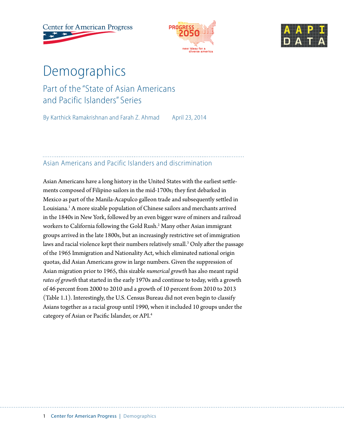**Center for American Progress** 





# Demographics

# Part of the "State of Asian Americans and Pacific Islanders" Series

By Karthick Ramakrishnan and Farah Z. Ahmad April 23, 2014

# Asian Americans and Pacific Islanders and discrimination

Asian Americans have a long history in the United States with the earliest settlements composed of Filipino sailors in the mid-1700s; they first debarked in Mexico as part of the Manila-Acapulco galleon trade and subsequently settled in Louisiana.<sup>1</sup> A more sizable population of Chinese sailors and merchants arrived in the 1840s in New York, followed by an even bigger wave of miners and railroad workers to California following the Gold Rush.2 Many other Asian immigrant groups arrived in the late 1800s, but an increasingly restrictive set of immigration laws and racial violence kept their numbers relatively small.<sup>3</sup> Only after the passage of the 1965 Immigration and Nationality Act, which eliminated national origin quotas, did Asian Americans grow in large numbers. Given the suppression of Asian migration prior to 1965, this sizable *numerical growth* has also meant rapid *rates of growth* that started in the early 1970s and continue to today, with a growth of 46 percent from 2000 to 2010 and a growth of 10 percent from 2010 to 2013 (Table 1.1). Interestingly, the U.S. Census Bureau did not even begin to classify Asians together as a racial group until 1990, when it included 10 groups under the category of Asian or Pacific Islander, or API.4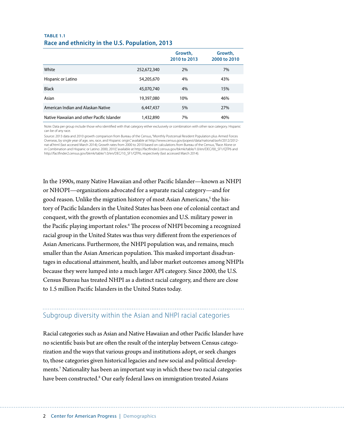#### **TABLE 1.1 Race and ethnicity in the U.S. Population, 2013**

|                                            |             | Growth,<br>2010 to 2013 | Growth,<br>2000 to 2010 |
|--------------------------------------------|-------------|-------------------------|-------------------------|
| White                                      | 252,672,340 | 2%                      | 7%                      |
| Hispanic or Latino                         | 54,205,670  | 4%                      | 43%                     |
| <b>Black</b>                               | 45,070,740  | 4%                      | 15%                     |
| Asian                                      | 19,397,080  | 10%                     | 46%                     |
| American Indian and Alaskan Native         | 6,447,437   | 5%                      | 27%                     |
| Native Hawaiian and other Pacific Islander | 1,432,890   | 7%                      | 40%                     |

Note: Data per group include those who identified with that category either exclusively or combination with other race category. Hispanic can be of any race.

Source: 2013 data and 2010 growth comparison from Bureau of the Census, "Monthly Postcensal Resident Population plus Armed Forces Overseas, by single year of age, sex, race, and Hispanic origin," available at http://www.census.gov/popest/data/national/asrh/2012/2012 nat-af.html (last accesed March 2014); Growth rates from 2000 to 2010 based on calculations from Bureau of the Census, "Race Alone or in Combination and Hispanic or Latino: 2000, 2010," available at http://factfinder2.census.gov/bkmk/table/1.0/en/DEC/00\_SF1/QTP6 and http://factfinder2.census.gov/bkmk/table/1.0/en/DEC/10\_SF1/QTP6, respectively (last accessed March 2014).

In the 1990s, many Native Hawaiian and other Pacific Islander—known as NHPI or NHOPI—organizations advocated for a separate racial category—and for good reason. Unlike the migration history of most Asian Americans,<sup>5</sup> the history of Pacific Islanders in the United States has been one of colonial contact and conquest, with the growth of plantation economies and U.S. military power in the Pacific playing important roles.<sup>6</sup> The process of NHPI becoming a recognized racial group in the United States was thus very different from the experiences of Asian Americans. Furthermore, the NHPI population was, and remains, much smaller than the Asian American population. This masked important disadvantages in educational attainment, health, and labor market outcomes among NHPIs because they were lumped into a much larger API category. Since 2000, the U.S. Census Bureau has treated NHPI as a distinct racial category, and there are close to 1.5 million Pacific Islanders in the United States today.

# Subgroup diversity within the Asian and NHPI racial categories

Racial categories such as Asian and Native Hawaiian and other Pacific Islander have no scientific basis but are often the result of the interplay between Census categorization and the ways that various groups and institutions adopt, or seek changes to, those categories given historical legacies and new social and political developments.7 Nationality has been an important way in which these two racial categories have been constructed.<sup>8</sup> Our early federal laws on immigration treated Asians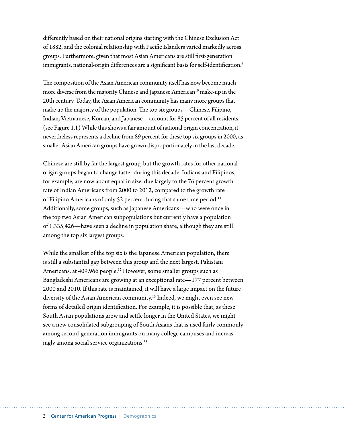differently based on their national origins starting with the Chinese Exclusion Act of 1882, and the colonial relationship with Pacific Islanders varied markedly across groups. Furthermore, given that most Asian Americans are still first-generation immigrants, national-origin differences are a significant basis for self-identification.<sup>9</sup>

The composition of the Asian American community itself has now become much more diverse from the majority Chinese and Japanese American<sup>10</sup> make-up in the 20th century. Today, the Asian American community has many more groups that make up the majority of the population. The top six groups—Chinese, Filipino, Indian, Vietnamese, Korean, and Japanese—account for 85 percent of all residents. (see Figure 1.1) While this shows a fair amount of national origin concentration, it nevertheless represents a decline from 89 percent for these top six groups in 2000, as smaller Asian American groups have grown disproportionately in the last decade.

Chinese are still by far the largest group, but the growth rates for other national origin groups began to change faster during this decade. Indians and Filipinos, for example, are now about equal in size, due largely to the 76 percent growth rate of Indian Americans from 2000 to 2012, compared to the growth rate of Filipino Americans of only 52 percent during that same time period.<sup>11</sup> Additionally, some groups, such as Japanese Americans—who were once in the top two Asian American subpopulations but currently have a population of 1,335,426—have seen a decline in population share, although they are still among the top six largest groups.

While the smallest of the top six is the Japanese American population, there is still a substantial gap between this group and the next largest, Pakistani Americans, at 409,966 people.<sup>12</sup> However, some smaller groups such as Bangladeshi Americans are growing at an exceptional rate—177 percent between 2000 and 2010. If this rate is maintained, it will have a large impact on the future diversity of the Asian American community.<sup>13</sup> Indeed, we might even see new forms of detailed origin identification. For example, it is possible that, as these South Asian populations grow and settle longer in the United States, we might see a new consolidated subgrouping of South Asians that is used fairly commonly among second-generation immigrants on many college campuses and increasingly among social service organizations.<sup>14</sup>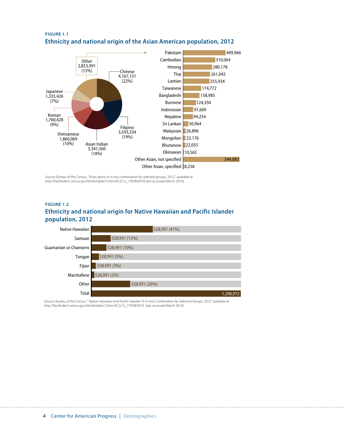

#### **FIGURE 1.1 Ethnicity and national origin of the Asian American population, 2012**

Source: Bureau of the Census, "Asian alone or in any combination by selected groups, 2012," available at http://factfinder2.census.gov/bkmk/table/1.0/en/ACS/12\_1YR/B02018 (last accessed March 2014).

#### **FIGURE 1.2 Ethnicity and national origin for Native Hawaiian and Pacific Islander population, 2012**



Source: Bureau of the Census, " Native Hawaiian And Pacific Islander Or In Any Combination By Selected Groups, 2012" available at http://factfinder2.census.gov/bkmk/table/1.0/en/ACS/12\_1YR/B02019 (last accessed March 2014).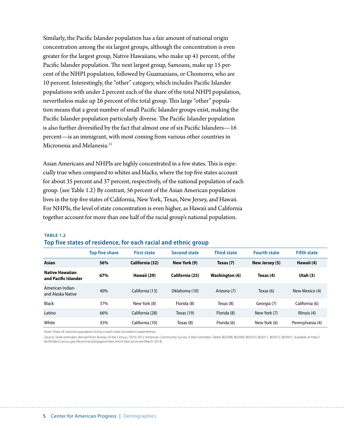Similarly, the Pacific Islander population has a fair amount of national origin concentration among the six largest groups, although the concentration is even greater for the largest group, Native Hawaiians, who make up 41 percent, of the Pacific Islander population. The next largest group, Samoans, make up 15 percent of the NHPI population, followed by Guamanians, or Chomorro, who are 10 percent. Interestingly, the "other" category, which includes Pacific Islander populations with under 2 percent each of the share of the total NHPI population, nevertheless make up 26 percent of the total group. This large "other" population means that a great number of small Pacific Islander groups exist, making the Pacific Islander population particularly diverse. The Pacific Islander population is also further diversified by the fact that almost one of six Pacific Islanders—16 percent—is an immigrant, with most coming from various other countries in Micronesia and Melanesia.<sup>15</sup>

Asian Americans and NHPIs are highly concentrated in a few states. This is especially true when compared to whites and blacks, where the top five states account for about 35 percent and 37 percent, respectively, of the national population of each group. (see Table 1.2) By contrast, 56 percent of the Asian American population lives in the top five states of California, New York, Texas, New Jersey, and Hawaii. For NHPIs, the level of state concentration is even higher, as Hawaii and California together account for more than one half of the racial group's national population.

#### **TABLE 1.2 Top five states of residence, for each racial and ethnic group**

|                                                | <b>Top five share</b> | <b>First state</b> | <b>Second state</b> | <b>Third state</b> | <b>Fourth state</b> | <b>Fifth state</b> |
|------------------------------------------------|-----------------------|--------------------|---------------------|--------------------|---------------------|--------------------|
| Asian                                          | 56%                   | California (32)    | New York (9)        | Texas (7)          | New Jersey (5)      | Hawaii (4)         |
| <b>Native Hawaiian</b><br>and Pacific Islander | 67%                   | Hawaii (29)        | California (25)     | Washington (6)     | Texas (4)           | Utah $(3)$         |
| American Indian<br>and Alaska Native           | 40%                   | California (13)    | Oklahoma (10)       | Arizona (7)        | Texas (6)           | New Mexico (4)     |
| <b>Black</b>                                   | 37%                   | New York (8)       | Florida (8)         | Texas (8)          | Georgia (7)         | California (6)     |
| Latino                                         | 66%                   | California (28)    | Texas $(19)$        | Florida (8)        | New York (7)        | Illinois (4)       |
| White                                          | 35%                   | California (10)    | Texas (8)           | Florida (6)        | New York (6)        | Pennsylvania (4)   |

Note: Share of national population living in each state included in parentheses.

Source: State estimates derived from Bureau of the Census, "2010-2012 American Community Survey 3-Year Estimates: Tables B02008, B02009, B02010, B02011, B02012, B03001, available at http:// factfinder2.census.gov/faces/nav/jsf/pages/index.xhtml (last accessed March 2014).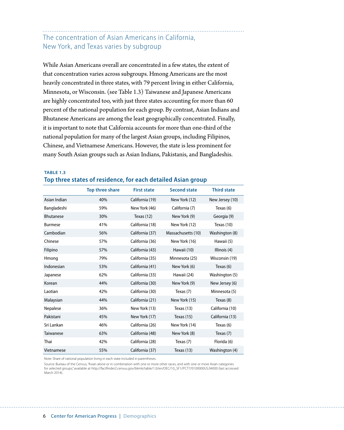### The concentration of Asian Americans in California, New York, and Texas varies by subgroup

While Asian Americans overall are concentrated in a few states, the extent of that concentration varies across subgroups. Hmong Americans are the most heavily concentrated in three states, with 79 percent living in either California, Minnesota, or Wisconsin. (see Table 1.3) Taiwanese and Japanese Americans are highly concentrated too, with just three states accounting for more than 60 percent of the national population for each group. By contrast, Asian Indians and Bhutanese Americans are among the least geographically concentrated. Finally, it is important to note that California accounts for more than one-third of the national population for many of the largest Asian groups, including Filipinos, Chinese, and Vietnamese Americans. However, the state is less prominent for many South Asian groups such as Asian Indians, Pakistanis, and Bangladeshis.

#### **TABLE 1.3 Top three states of residence, for each detailed Asian group**

|                  | <b>Top three share</b> | <b>First state</b> | <b>Second state</b> | <b>Third state</b> |
|------------------|------------------------|--------------------|---------------------|--------------------|
| Asian Indian     | 40%                    | California (19)    | New York (12)       | New Jersey (10)    |
| Bangladeshi      | 59%                    | New York (46)      | California (7)      | Texas (6)          |
| <b>Bhutanese</b> | 30%                    | Texas $(12)$       | New York (9)        | Georgia (9)        |
| <b>Burmese</b>   | 41%                    | California (18)    | New York (12)       | Texas $(10)$       |
| Cambodian        | 56%                    | California (37)    | Massachusetts (10)  | Washington (8)     |
| Chinese          | 57%                    | California (36)    | New York (16)       | Hawaii (5)         |
| Filipino         | 57%                    | California (43)    | Hawaii (10)         | Illinois (4)       |
| Hmong            | 79%                    | California (35)    | Minnesota (25)      | Wisconsin (19)     |
| Indonesian       | 53%                    | California (41)    | New York (6)        | Texas $(6)$        |
| Japanese         | 62%                    | California (33)    | Hawaii (24)         | Washington (5)     |
| Korean           | 44%                    | California (30)    | New York (9)        | New Jersey (6)     |
| Laotian          | 42%                    | California (30)    | Texas (7)           | Minnesota (5)      |
| Malaysian        | 44%                    | California (21)    | New York (15)       | Texas (8)          |
| Nepalese         | 36%                    | New York (13)      | Texas $(13)$        | California (10)    |
| Pakistani        | 45%                    | New York (17)      | Texas $(15)$        | California (13)    |
| Sri Lankan       | 46%                    | California (26)    | New York (14)       | Texas (6)          |
| Taiwanese        | 63%                    | California (48)    | New York (8)        | Texas (7)          |
| Thai             | 42%                    | California (28)    | Texas (7)           | Florida (6)        |
| Vietnamese       | 55%                    | California (37)    | Texas (13)          | Washington (4)     |

Note: Share of national population living in each state included in parentheses.

Source: Bureau of the Census, "Asian alone or in combination with one or more other races, and with one or more Asian categories for selected groups," available at http://factfinder2.census.gov/bkmk/table/1.0/en/DEC/10\_SF1/PCT7/0100000US.04000 (last accessed March 2014).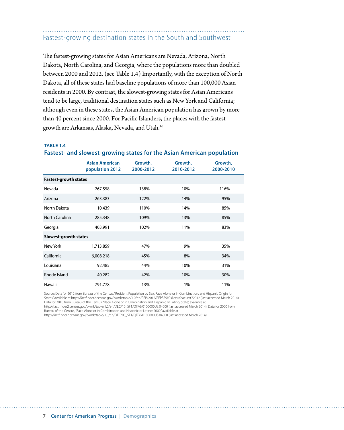# Fastest-growing destination states in the South and Southwest

The fastest-growing states for Asian Americans are Nevada, Arizona, North Dakota, North Carolina, and Georgia, where the populations more than doubled between 2000 and 2012. (see Table 1.4) Importantly, with the exception of North Dakota, all of these states had baseline populations of more than 100,000 Asian residents in 2000. By contrast, the slowest-growing states for Asian Americans tend to be large, traditional destination states such as New York and California; although even in these states, the Asian American population has grown by more than 40 percent since 2000. For Pacific Islanders, the places with the fastest growth are Arkansas, Alaska, Nevada, and Utah.16

#### **TABLE 1.4**

#### **Fastest- and slowest-growing states for the Asian American population**

|                              | <b>Asian American</b><br>population 2012 | Growth,<br>2000-2012 | Growth,<br>2010-2012 | Growth,<br>2000-2010 |  |  |  |
|------------------------------|------------------------------------------|----------------------|----------------------|----------------------|--|--|--|
| <b>Fastest-growth states</b> |                                          |                      |                      |                      |  |  |  |
| Nevada                       | 267,558                                  | 138%                 | 10%                  | 116%                 |  |  |  |
| Arizona                      | 263,383                                  | 122%                 | 14%                  | 95%                  |  |  |  |
| North Dakota                 | 10,439                                   | 110%                 | 14%                  | 85%                  |  |  |  |
| North Carolina               | 285,348                                  | 109%                 | 13%                  | 85%                  |  |  |  |
| Georgia                      | 403,991                                  | 102%                 | 11%                  | 83%                  |  |  |  |
| Slowest-growth states        |                                          |                      |                      |                      |  |  |  |
| New York                     | 1,713,859                                | 47%                  | 9%                   | 35%                  |  |  |  |
| California                   | 6,008,218                                | 45%                  | 8%                   | 34%                  |  |  |  |
| Louisiana                    | 92,485                                   | 44%                  | 10%                  | 31%                  |  |  |  |
| Rhode Island                 | 40,282                                   | 42%                  | 10%                  | 30%                  |  |  |  |
| Hawaii                       | 791,778                                  | 13%                  | 1%                   | 11%                  |  |  |  |

Source: Data for 2012 from Bureau of the Census, "Resident Population by Sex, Race Alone or in Combination, and Hispanic Origin for States," available at http://factfinder2.census.gov/bkmk/table/1.0/en/PEP/2012/PEPSR5H?slice=Year~est72012 (last accessed March 2014); Data for 2010 from Bureau of the Census, "Race Alone or in Combination and Hispanic or Latino, State," available at

http://factfinder2.census.gov/bkmk/table/1.0/en/DEC/10\_SF1/QTP6/0100000US.04000 (last accessed March 2014); Data for 2000 from Bureau of the Census, "Race Alone or in Combination and Hispanic or Latino: 2000," available at

http://factfinder2.census.gov/bkmk/table/1.0/en/DEC/00\_SF1/QTP6/0100000US.04000 (last accessed March 2014).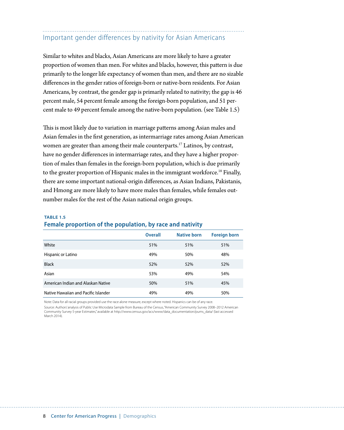### Important gender differences by nativity for Asian Americans

Similar to whites and blacks, Asian Americans are more likely to have a greater proportion of women than men. For whites and blacks, however, this pattern is due primarily to the longer life expectancy of women than men, and there are no sizable differences in the gender ratios of foreign-born or native-born residents. For Asian Americans, by contrast, the gender gap is primarily related to nativity; the gap is 46 percent male, 54 percent female among the foreign-born population, and 51 percent male to 49 percent female among the native-born population. (see Table 1.5)

This is most likely due to variation in marriage patterns among Asian males and Asian females in the first generation, as intermarriage rates among Asian American women are greater than among their male counterparts.<sup>17</sup> Latinos, by contrast, have no gender differences in intermarriage rates, and they have a higher proportion of males than females in the foreign-born population, which is due primarily to the greater proportion of Hispanic males in the immigrant workforce.<sup>18</sup> Finally, there are some important national-origin differences, as Asian Indians, Pakistanis, and Hmong are more likely to have more males than females, while females outnumber males for the rest of the Asian national origin groups.

### **Overall Native born Foreign born** White 51% 51% 51% Hispanic or Latino **1998 1998 1998 1998 1998 1998 1998 1998 1998 1998 1999 1999 1999 1999 1999 1999 1999 1999 1999 1999 1999 1999 1999 1999 1999 1999 1999 1999 1999** Black 52% 52% 52% Asian 53% 53% 49% 54% 54% American Indian and Alaskan Native 50% 50% 51% 51% 51% 51% Native Hawaiian and Pacific Islander 1996 1996 1996 1997 49% 49% 50%

#### **TABLE 1.5 Female proportion of the population, by race and nativity**

Note: Data for all racial groups provided use the race alone measure, except where noted. Hispanics can be of any race. Source: Authors' analysis of Public Use Microdata Sample from Bureau of the Census, "American Community Survey 2008–2012 American Community Survey 5-year Estimates," available at http://www.census.gov/acs/www/data\_documentation/pums\_data/ (last accessed March 2014).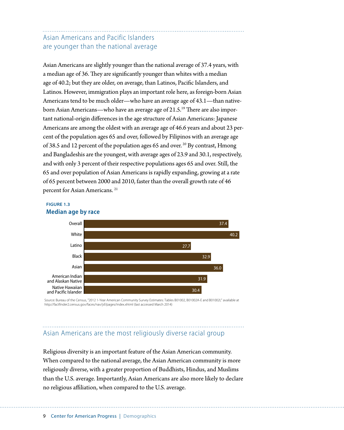### Asian Americans and Pacific Islanders are younger than the national average

Asian Americans are slightly younger than the national average of 37.4 years, with a median age of 36. They are significantly younger than whites with a median age of 40.2; but they are older, on average, than Latinos, Pacific Islanders, and Latinos. However, immigration plays an important role here, as foreign-born Asian Americans tend to be much older—who have an average age of 43.1—than nativeborn Asian Americans—who have an average age of 21.5.<sup>19</sup> There are also important national-origin differences in the age structure of Asian Americans: Japanese Americans are among the oldest with an average age of 46.6 years and about 23 percent of the population ages 65 and over, followed by Filipinos with an average age of 38.5 and 12 percent of the population ages 65 and over. 20 By contrast, Hmong and Bangladeshis are the youngest, with average ages of 23.9 and 30.1, respectively, and with only 3 percent of their respective populations ages 65 and over. Still, the 65 and over population of Asian Americans is rapidly expanding, growing at a rate of 65 percent between 2000 and 2010, faster than the overall growth rate of 46 percent for Asian Americans. 21

#### **FIGURE 1.3 Median age by race**



Source: Bureau of the Census, "2012 1-Year American Community Survey Estimates: Tables B01002, B01002A-E and B01002I," available at http://factfinder2.census.gov/faces/nav/jsf/pages/index.xhtml (last accessed March 2014)

# Asian Americans are the most religiously diverse racial group

Religious diversity is an important feature of the Asian American community. When compared to the national average, the Asian American community is more religiously diverse, with a greater proportion of Buddhists, Hindus, and Muslims than the U.S. average. Importantly, Asian Americans are also more likely to declare no religious affiliation, when compared to the U.S. average.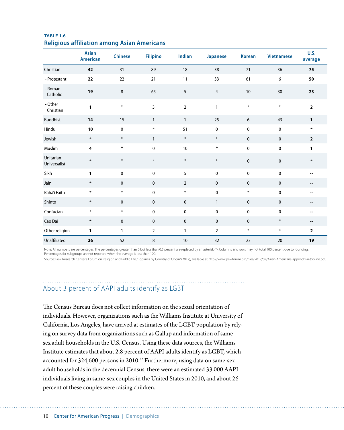|                           | <b>Asian</b><br><b>American</b> | <b>Chinese</b> | <b>Filipino</b> | Indian          | Japanese       | <b>Korean</b> | <b>Vietnamese</b> | <b>U.S.</b><br>average   |
|---------------------------|---------------------------------|----------------|-----------------|-----------------|----------------|---------------|-------------------|--------------------------|
| Christian                 | 42                              | 31             | 89              | 18              | 38             | 71            | 36                | 75                       |
| - Protestant              | 22                              | 22             | 21              | 11              | 33             | 61            | 6                 | 50                       |
| - Roman<br>Catholic       | 19                              | $\,8\,$        | 65              | $5\overline{)}$ | $\overline{4}$ | 10            | 30                | 23                       |
| - Other<br>Christian      | 1                               | $\ast$         | $\overline{3}$  | $\overline{2}$  | $\mathbf{1}$   | $\ast$        | $\ast$            | $\overline{\mathbf{2}}$  |
| <b>Buddhist</b>           | 14                              | 15             | $\mathbf{1}$    | $\mathbf{1}$    | 25             | 6             | 43                | $\mathbf{1}$             |
| Hindu                     | 10                              | $\pmb{0}$      | $\ast$          | 51              | $\pmb{0}$      | $\pmb{0}$     | $\mathbf 0$       | $\ast$                   |
| Jewish                    | $\ast$                          | $\ast$         | $\mathbf{1}$    | $\ast$          | $\ast$         | $\mathbf 0$   | $\pmb{0}$         | $\overline{\mathbf{2}}$  |
| Muslim                    | 4                               | $\ast$         | 0               | 10              | $\ast$         | $\pmb{0}$     | $\mathbf 0$       | 1                        |
| Unitarian<br>Universalist | $\ast$                          | $\ast$         | $\ast$          | $\ast$          | $\ast$         | $\mathbf{0}$  | $\mathbf 0$       | $\ast$                   |
| Sikh                      | 1                               | $\pmb{0}$      | $\pmb{0}$       | 5               | $\pmb{0}$      | $\pmb{0}$     | $\mathbf 0$       | --                       |
| Jain                      | $\ast$                          | $\mathbf 0$    | $\mathbf 0$     | $\overline{2}$  | $\mathbf 0$    | $\mathbf 0$   | $\mathbf 0$       | $\overline{\phantom{a}}$ |
| Bahá'í Faith              | $\ast$                          | $\ast$         | $\mathbf 0$     | $\ast$          | $\pmb{0}$      | $\ast$        | $\pmb{0}$         | --                       |
| Shinto                    | $\ast$                          | $\pmb{0}$      | $\mathbf 0$     | $\mathbf 0$     | $\mathbf{1}$   | $\mathbf 0$   | $\mathbf 0$       | --                       |
| Confucian                 | $\ast$                          | $\ast$         | 0               | $\pmb{0}$       | $\pmb{0}$      | $\pmb{0}$     | 0                 | --                       |
| Cao Dai                   | $\ast$                          | $\pmb{0}$      | $\mathbf 0$     | $\mathbf 0$     | $\mathbf 0$    | $\mathbf 0$   | $\ast$            |                          |
| Other religion            | 1                               | $\mathbf{1}$   | $\overline{2}$  | $\mathbf{1}$    | $\overline{2}$ | $\ast$        | $\ast$            | $\overline{\mathbf{2}}$  |
| Unaffiliated              | 26                              | 52             | 8               | 10              | 32             | 23            | 20                | 19                       |

#### **TABLE 1.6 Religious affiliation among Asian Americans**

Note: All numbers are percentages. The percentages greater than 0 but less than 0.5 percent are replaced by an asterisk (\*). Columns and rows may not total 100 percent due to rounding. Percentages for subgroups are not reported when the average is less than 100.

Source: Pew Research Center's Forum on Religion and Public Life, "Toplines by Country of Origin" (2012), available at http://www.pewforum.org/files/2012/07/Asian-Americans-appendix-4-topline.pdf.

# About 3 percent of AAPI adults identify as LGBT

The Census Bureau does not collect information on the sexual orientation of individuals. However, organizations such as the Williams Institute at University of California, Los Angeles, have arrived at estimates of the LGBT population by relying on survey data from organizations such as Gallup and information of samesex adult households in the U.S. Census. Using these data sources, the Williams Institute estimates that about 2.8 percent of AAPI adults identify as LGBT, which accounted for 324,600 persons in 2010.<sup>22</sup> Furthermore, using data on same-sex adult households in the decennial Census, there were an estimated 33,000 AAPI individuals living in same-sex couples in the United States in 2010, and about 26 percent of these couples were raising children.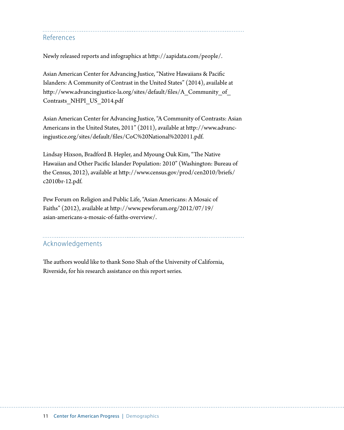References

Newly released reports and infographics at [http://aapidata.com/people/](http://aapidata.com/demographics/).

Asian American Center for Advancing Justice, "Native Hawaiians & Pacific Islanders: A Community of Contrast in the United States" (2014), available at http://www.advancingjustice-la.org/sites/default/files/A\_Community\_of\_ Contrasts\_NHPI\_US\_2014.pdf

Asian American Center for Advancing Justice, "A Community of Contrasts: Asian Americans in the United States, 2011" (2011), available at http://www.advancingjustice.org/sites/default/files/CoC%20National%202011.pdf.

Lindsay Hixson, Bradford B. Hepler, and Myoung Ouk Kim, "The Native Hawaiian and Other Pacific Islander Population: 2010" (Washington: Bureau of the Census, 2012), available at [http://www.census.gov/prod/cen2010/briefs/](http://www.census.gov/prod/cen2010/briefs/c2010br-12.pdf) [c2010br-12.pdf.](http://www.census.gov/prod/cen2010/briefs/c2010br-12.pdf)

Pew Forum on Religion and Public Life, "Asian Americans: A Mosaic of Faiths" (2012), available at http://www.pewforum.org/2012/07/19/ asian-americans-a-mosaic-of-faiths-overview/.

# Acknowledgements

The authors would like to thank Sono Shah of the University of California, Riverside, for his research assistance on this report series.